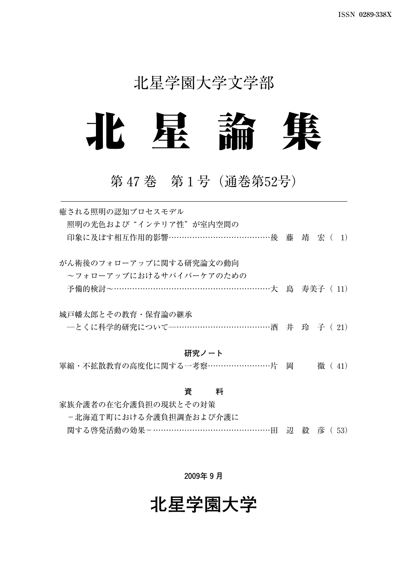## 北星学園大学文学部



## 第47巻 第1号(通巻第52号)

| 癒される照明の認知プロセスモデル<br>照明の光色および"インテリア性"が室内空間の<br>印象に及ぼす相互作用的影響…………………………………後 藤 靖 宏( 1)              |        |
|--------------------------------------------------------------------------------------------------|--------|
| がん術後のフォローアップに関する研究論文の動向<br>~フォローアップにおけるサバイバーケアのための<br>予備的検討~………………………………………………………………大 島 寿美子 (11) |        |
| 城戸幡太郎とその教育・保育論の継承<br>--とくに科学的研究について---………………………………酒 井 玲 子 (21)                                   |        |
| 研究ノート<br>軍縮・不拡散教育の高度化に関する一考察……………………片 岡                                                          | 徹 (41) |
| 資<br>料<br>家族介護者の在宅介護負担の現状とその対策                                                                   |        |

-北海道T町における介護負担調査および介護に 関する啓発活動の効果-………………………………………田 辺 毅 彦( 53)

#### **2009年9月**

## **北星学園大学**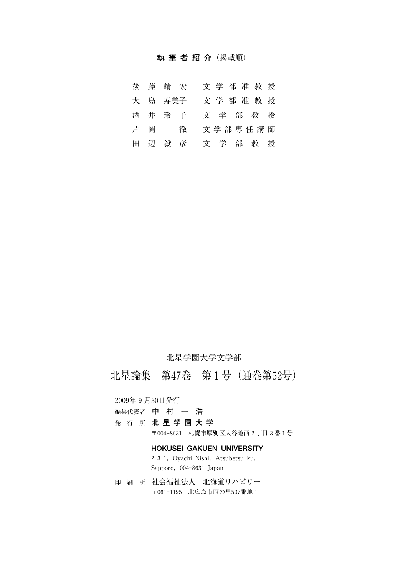#### **執筆者紹介**(掲載順)

|  | 後藤靖宏    |  | 文学部准教授  |  |  |
|--|---------|--|---------|--|--|
|  | 大 島 寿美子 |  | 文学部准教授  |  |  |
|  | 酒井玲子    |  | 文学部教授   |  |  |
|  | 片 岡 徹   |  | 文学部専任講師 |  |  |
|  | 田辺毅彦    |  | 文学部教授   |  |  |

#### 北星学園大学文学部

北星論集 第47巻 第1号(通巻第52号)

2009年9月30日発行

- 編集代表者 **中村一浩**
- 発行所 **北星学園大学**

〒0048631 札幌市厚別区大谷地西2丁目3番1号

#### **HOKUSEI GAKUEN UNIVERSITY**

2-3-1, Oyachi Nishi, Atsubetsu-ku, Sapporo, 004-8631 Japan

印刷所 社会福祉法人 北海道リハビリー 〒0611195 北広島市西の里507番地1